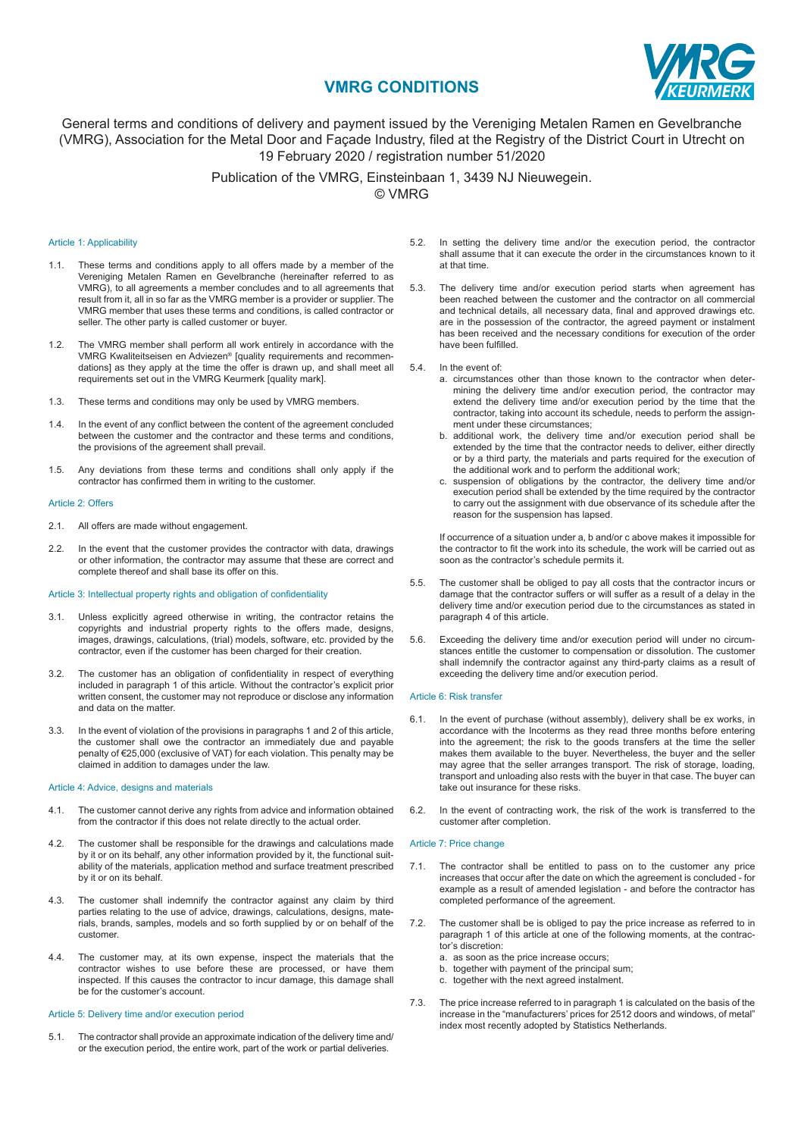# **VMRG CONDITIONS**



# General terms and conditions of delivery and payment issued by the Vereniging Metalen Ramen en Gevelbranche (VMRG), Association for the Metal Door and Façade Industry, filed at the Registry of the District Court in Utrecht on 19 February 2020 / registration number 51/2020

Publication of the VMRG, Einsteinbaan 1, 3439 NJ Nieuwegein. © VMRG

# Article 1: Applicability

- 1.1. These terms and conditions apply to all offers made by a member of the Vereniging Metalen Ramen en Gevelbranche (hereinafter referred to as VMRG), to all agreements a member concludes and to all agreements that result from it, all in so far as the VMRG member is a provider or supplier. The VMRG member that uses these terms and conditions, is called contractor or seller. The other party is called customer or buyer.
- 1.2. The VMRG member shall perform all work entirely in accordance with the VMRG Kwaliteitseisen en Adviezen® [quality requirements and recommendations] as they apply at the time the offer is drawn up, and shall meet all requirements set out in the VMRG Keurmerk [quality mark].
- 1.3. These terms and conditions may only be used by VMRG members.
- 1.4. In the event of any conflict between the content of the agreement concluded between the customer and the contractor and these terms and conditions, the provisions of the agreement shall prevail.
- 1.5. Any deviations from these terms and conditions shall only apply if the contractor has confirmed them in writing to the customer.

### Article 2: Offers

- 2.1. All offers are made without engagement.
- 2.2. In the event that the customer provides the contractor with data, drawings or other information, the contractor may assume that these are correct and complete thereof and shall base its offer on this.

### Article 3: Intellectual property rights and obligation of confidentiality

- 3.1. Unless explicitly agreed otherwise in writing, the contractor retains the copyrights and industrial property rights to the offers made, designs, images, drawings, calculations, (trial) models, software, etc. provided by the contractor, even if the customer has been charged for their creation.
- 3.2. The customer has an obligation of confidentiality in respect of everything included in paragraph 1 of this article. Without the contractor's explicit prior written consent, the customer may not reproduce or disclose any information and data on the matter.
- 3.3. In the event of violation of the provisions in paragraphs 1 and 2 of this article, the customer shall owe the contractor an immediately due and payable penalty of €25,000 (exclusive of VAT) for each violation. This penalty may be claimed in addition to damages under the law.

# Article 4: Advice, designs and materials

- 4.1. The customer cannot derive any rights from advice and information obtained from the contractor if this does not relate directly to the actual order.
- 4.2. The customer shall be responsible for the drawings and calculations made by it or on its behalf, any other information provided by it, the functional suitability of the materials, application method and surface treatment prescribed by it or on its behalf.
- 4.3. The customer shall indemnify the contractor against any claim by third parties relating to the use of advice, drawings, calculations, designs, materials, brands, samples, models and so forth supplied by or on behalf of the customer.
- 4.4. The customer may, at its own expense, inspect the materials that the contractor wishes to use before these are processed, or have them inspected. If this causes the contractor to incur damage, this damage shall be for the customer's account.

### Article 5: Delivery time and/or execution period

5.1. The contractor shall provide an approximate indication of the delivery time and/ or the execution period, the entire work, part of the work or partial deliveries.

- 5.2. In setting the delivery time and/or the execution period, the contractor shall assume that it can execute the order in the circumstances known to it at that time.
- 5.3. The delivery time and/or execution period starts when agreement has been reached between the customer and the contractor on all commercial and technical details, all necessary data, final and approved drawings etc. are in the possession of the contractor, the agreed payment or instalment has been received and the necessary conditions for execution of the order have been fulfilled.
- 5.4. In the event of:
	- a. circumstances other than those known to the contractor when determining the delivery time and/or execution period, the contractor may extend the delivery time and/or execution period by the time that the contractor, taking into account its schedule, needs to perform the assignment under these circumstances;
	- b. additional work, the delivery time and/or execution period shall be extended by the time that the contractor needs to deliver, either directly or by a third party, the materials and parts required for the execution of the additional work and to perform the additional work;
	- c. suspension of obligations by the contractor, the delivery time and/or execution period shall be extended by the time required by the contractor to carry out the assignment with due observance of its schedule after the reason for the suspension has lapsed.

 If occurrence of a situation under a, b and/or c above makes it impossible for the contractor to fit the work into its schedule, the work will be carried out as soon as the contractor's schedule permits it.

- 5.5. The customer shall be obliged to pay all costs that the contractor incurs or damage that the contractor suffers or will suffer as a result of a delay in the delivery time and/or execution period due to the circumstances as stated in paragraph 4 of this article.
- 5.6. Exceeding the delivery time and/or execution period will under no circumstances entitle the customer to compensation or dissolution. The customer shall indemnify the contractor against any third-party claims as a result of exceeding the delivery time and/or execution period.

#### Article 6: Risk transfer

- 6.1. In the event of purchase (without assembly), delivery shall be ex works, in accordance with the Incoterms as they read three months before entering into the agreement; the risk to the goods transfers at the time the seller makes them available to the buyer. Nevertheless, the buyer and the seller may agree that the seller arranges transport. The risk of storage, loading, transport and unloading also rests with the buyer in that case. The buyer can take out insurance for these risks.
- 6.2. In the event of contracting work, the risk of the work is transferred to the customer after completion.

### Article 7: Price change

- 7.1. The contractor shall be entitled to pass on to the customer any price increases that occur after the date on which the agreement is concluded - for example as a result of amended legislation - and before the contractor has completed performance of the agreement.
- 7.2. The customer shall be is obliged to pay the price increase as referred to in paragraph 1 of this article at one of the following moments, at the contractor's discretion:
	- a. as soon as the price increase occurs;
	- b. together with payment of the principal sum;
	- c. together with the next agreed instalment.
- 7.3. The price increase referred to in paragraph 1 is calculated on the basis of the increase in the "manufacturers' prices for 2512 doors and windows, of metal" index most recently adopted by Statistics Netherlands.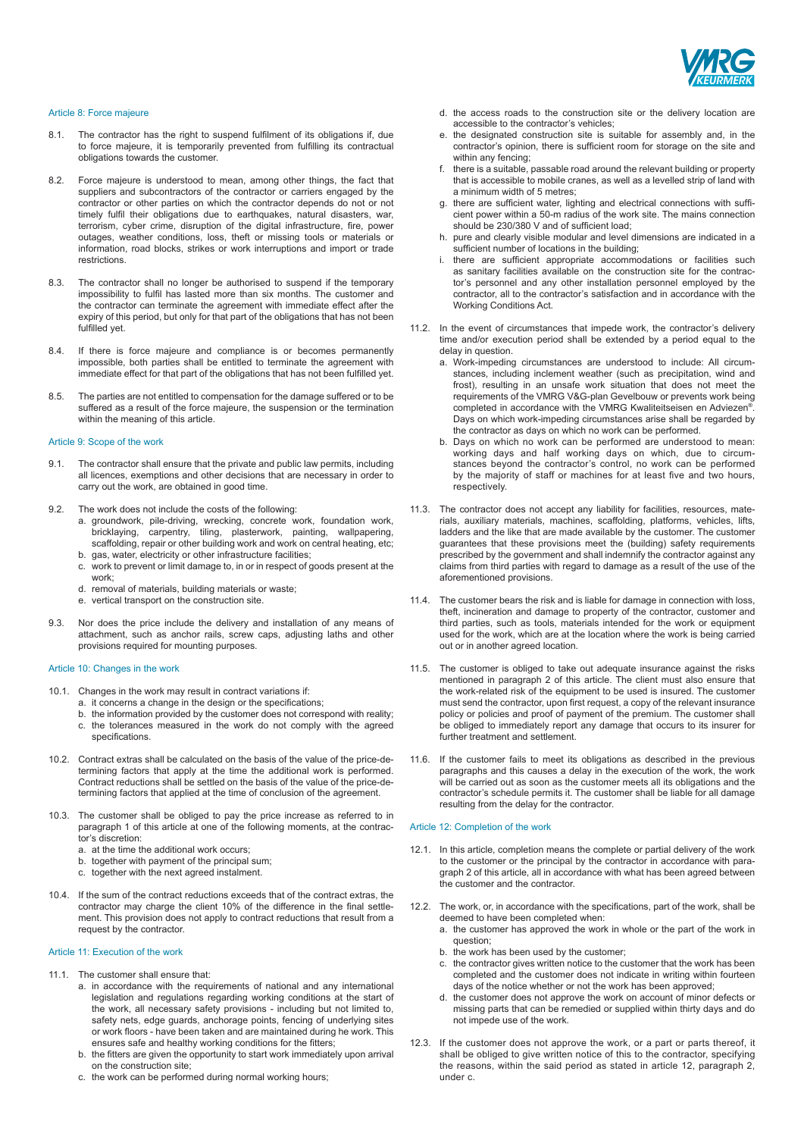

# Article 8: Force majeure

- 8.1. The contractor has the right to suspend fulfilment of its obligations if, due to force majeure, it is temporarily prevented from fulfilling its contractual obligations towards the customer.
- 8.2. Force majeure is understood to mean, among other things, the fact that suppliers and subcontractors of the contractor or carriers engaged by the contractor or other parties on which the contractor depends do not or not timely fulfil their obligations due to earthquakes, natural disasters, war, terrorism, cyber crime, disruption of the digital infrastructure, fire, power outages, weather conditions, loss, theft or missing tools or materials or information, road blocks, strikes or work interruptions and import or trade restrictions.
- 8.3. The contractor shall no longer be authorised to suspend if the temporary impossibility to fulfil has lasted more than six months. The customer and the contractor can terminate the agreement with immediate effect after the expiry of this period, but only for that part of the obligations that has not been fulfilled yet.
- 8.4. If there is force majeure and compliance is or becomes permanently impossible, both parties shall be entitled to terminate the agreement with immediate effect for that part of the obligations that has not been fulfilled yet.
- 8.5. The parties are not entitled to compensation for the damage suffered or to be suffered as a result of the force majeure, the suspension or the termination within the meaning of this article.

# Article 9: Scope of the work

- 9.1. The contractor shall ensure that the private and public law permits, including all licences, exemptions and other decisions that are necessary in order to carry out the work, are obtained in good time.
- 9.2. The work does not include the costs of the following:
	- a. groundwork, pile-driving, wrecking, concrete work, foundation work, bricklaying, carpentry, tiling, plasterwork, painting, wallpapering, scaffolding, repair or other building work and work on central heating, etc; b. gas, water, electricity or other infrastructure facilities;
	- c. work to prevent or limit damage to, in or in respect of goods present at the
	- work; d. removal of materials, building materials or waste;
	- e. vertical transport on the construction site.
	-
- 9.3. Nor does the price include the delivery and installation of any means of attachment, such as anchor rails, screw caps, adjusting laths and other provisions required for mounting purposes.

# Article 10: Changes in the work

- 10.1. Changes in the work may result in contract variations if:
	- a. it concerns a change in the design or the specifications;
	- b. the information provided by the customer does not correspond with reality;
	- c. the tolerances measured in the work do not comply with the agreed specifications.
- 10.2. Contract extras shall be calculated on the basis of the value of the price-determining factors that apply at the time the additional work is performed. Contract reductions shall be settled on the basis of the value of the price-determining factors that applied at the time of conclusion of the agreement.
- 10.3. The customer shall be obliged to pay the price increase as referred to in paragraph 1 of this article at one of the following moments, at the contractor's discretion:
	- a. at the time the additional work occurs;
	- b. together with payment of the principal sum;
	- c. together with the next agreed instalment.
- 10.4. If the sum of the contract reductions exceeds that of the contract extras, the contractor may charge the client 10% of the difference in the final settlement. This provision does not apply to contract reductions that result from a request by the contractor.

# Article 11: Execution of the work

- 11.1. The customer shall ensure that:
	- a. in accordance with the requirements of national and any international legislation and regulations regarding working conditions at the start of the work, all necessary safety provisions - including but not limited to, safety nets, edge guards, anchorage points, fencing of underlying sites or work floors - have been taken and are maintained during he work. This ensures safe and healthy working conditions for the fitters;
	- b. the fitters are given the opportunity to start work immediately upon arrival on the construction site;
	- c. the work can be performed during normal working hours;
- d. the access roads to the construction site or the delivery location are accessible to the contractor's vehicles;
- e. the designated construction site is suitable for assembly and, in the contractor's opinion, there is sufficient room for storage on the site and within any fencing:
- f. there is a suitable, passable road around the relevant building or property that is accessible to mobile cranes, as well as a levelled strip of land with a minimum width of 5 metres;
- g. there are sufficient water, lighting and electrical connections with sufficient power within a 50-m radius of the work site. The mains connection should be 230/380 V and of sufficient load;
- h. pure and clearly visible modular and level dimensions are indicated in a sufficient number of locations in the building;
- i. there are sufficient appropriate accommodations or facilities such as sanitary facilities available on the construction site for the contractor's personnel and any other installation personnel employed by the contractor, all to the contractor's satisfaction and in accordance with the Working Conditions Act.
- 11.2. In the event of circumstances that impede work, the contractor's delivery time and/or execution period shall be extended by a period equal to the delay in question.
	- a. Work-impeding circumstances are understood to include: All circumstances, including inclement weather (such as precipitation, wind and frost), resulting in an unsafe work situation that does not meet the requirements of the VMRG V&G-plan Gevelbouw or prevents work being completed in accordance with the VMRG Kwaliteitseisen en Adviezen®. Days on which work-impeding circumstances arise shall be regarded by the contractor as days on which no work can be performed.
	- b. Days on which no work can be performed are understood to mean: working days and half working days on which, due to circumstances beyond the contractor's control, no work can be performed by the majority of staff or machines for at least five and two hours, respectively.
- 11.3. The contractor does not accept any liability for facilities, resources, materials, auxiliary materials, machines, scaffolding, platforms, vehicles, lifts, ladders and the like that are made available by the customer. The customer guarantees that these provisions meet the (building) safety requirements prescribed by the government and shall indemnify the contractor against any claims from third parties with regard to damage as a result of the use of the aforementioned provisions.
- 11.4. The customer bears the risk and is liable for damage in connection with loss, theft, incineration and damage to property of the contractor, customer and third parties, such as tools, materials intended for the work or equipment used for the work, which are at the location where the work is being carried out or in another agreed location.
- 11.5. The customer is obliged to take out adequate insurance against the risks mentioned in paragraph 2 of this article. The client must also ensure that the work-related risk of the equipment to be used is insured. The customer must send the contractor, upon first request, a copy of the relevant insurance policy or policies and proof of payment of the premium. The customer shall be obliged to immediately report any damage that occurs to its insurer for further treatment and settlement.
- 11.6. If the customer fails to meet its obligations as described in the previous paragraphs and this causes a delay in the execution of the work, the work will be carried out as soon as the customer meets all its obligations and the contractor's schedule permits it. The customer shall be liable for all damage resulting from the delay for the contractor.

# Article 12: Completion of the work

- 12.1. In this article, completion means the complete or partial delivery of the work to the customer or the principal by the contractor in accordance with paragraph 2 of this article, all in accordance with what has been agreed between the customer and the contractor.
- 12.2. The work, or, in accordance with the specifications, part of the work, shall be deemed to have been completed when:
	- a. the customer has approved the work in whole or the part of the work in question;
	- b. the work has been used by the customer;
	- c. the contractor gives written notice to the customer that the work has been completed and the customer does not indicate in writing within fourteen days of the notice whether or not the work has been approved;
	- d. the customer does not approve the work on account of minor defects or missing parts that can be remedied or supplied within thirty days and do not impede use of the work.
- 12.3. If the customer does not approve the work, or a part or parts thereof, it shall be obliged to give written notice of this to the contractor, specifying the reasons, within the said period as stated in article 12, paragraph 2, under c.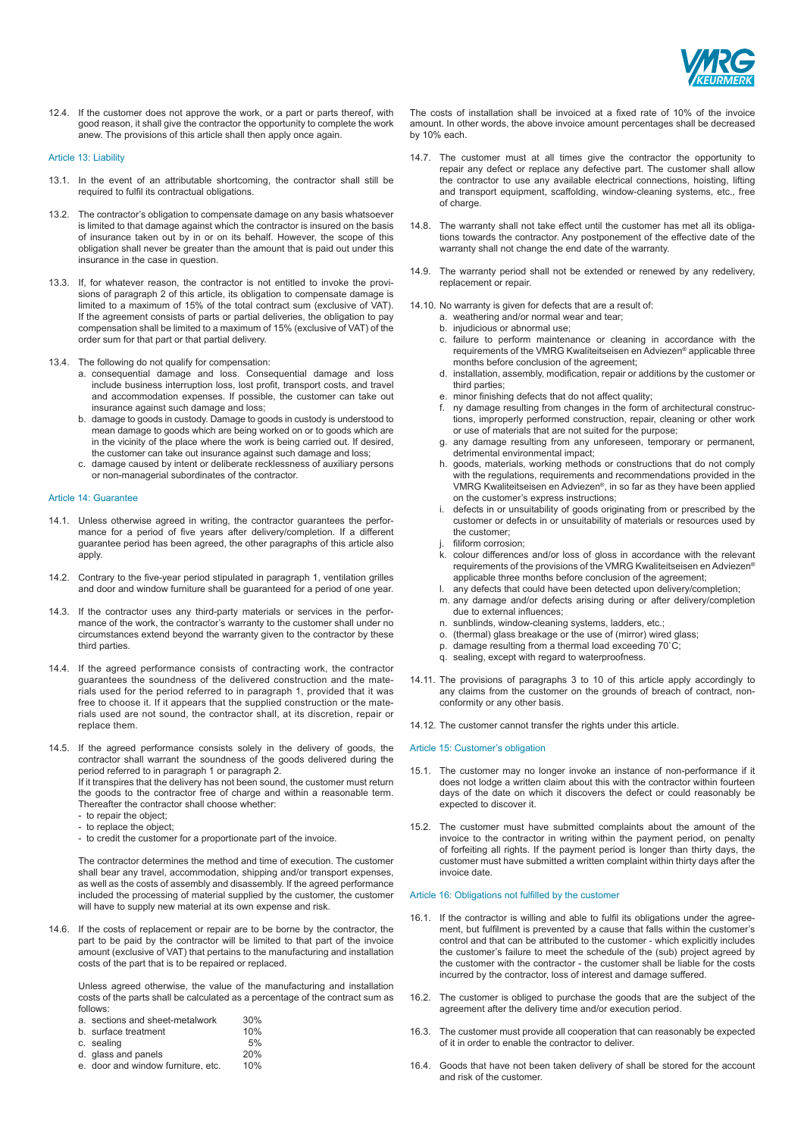

12.4. If the customer does not approve the work, or a part or parts thereof, with good reason, it shall give the contractor the opportunity to complete the work anew. The provisions of this article shall then apply once again.

### Article 13: Liability

- 13.1. In the event of an attributable shortcoming, the contractor shall still be required to fulfil its contractual obligations.
- 13.2. The contractor's obligation to compensate damage on any basis whatsoever is limited to that damage against which the contractor is insured on the basis of insurance taken out by in or on its behalf. However, the scope of this obligation shall never be greater than the amount that is paid out under this insurance in the case in question.
- 13.3. If, for whatever reason, the contractor is not entitled to invoke the provisions of paragraph 2 of this article, its obligation to compensate damage is limited to a maximum of 15% of the total contract sum (exclusive of VAT). If the agreement consists of parts or partial deliveries, the obligation to pay compensation shall be limited to a maximum of 15% (exclusive of VAT) of the order sum for that part or that partial delivery.
- 13.4. The following do not qualify for compensation:
	- a. consequential damage and loss. Consequential damage and loss include business interruption loss, lost profit, transport costs, and travel and accommodation expenses. If possible, the customer can take out insurance against such damage and loss;
	- b. damage to goods in custody. Damage to goods in custody is understood to mean damage to goods which are being worked on or to goods which are in the vicinity of the place where the work is being carried out. If desired the customer can take out insurance against such damage and loss;
	- c. damage caused by intent or deliberate recklessness of auxiliary persons or non-managerial subordinates of the contractor.

#### Article 14: Guarantee

- 14.1. Unless otherwise agreed in writing, the contractor guarantees the performance for a period of five years after delivery/completion. If a different guarantee period has been agreed, the other paragraphs of this article also apply.
- 14.2. Contrary to the five-year period stipulated in paragraph 1, ventilation grilles and door and window furniture shall be guaranteed for a period of one year.
- 14.3. If the contractor uses any third-party materials or services in the performance of the work, the contractor's warranty to the customer shall under no circumstances extend beyond the warranty given to the contractor by these third parties.
- 14.4. If the agreed performance consists of contracting work, the contractor guarantees the soundness of the delivered construction and the materials used for the period referred to in paragraph 1, provided that it was free to choose it. If it appears that the supplied construction or the materials used are not sound, the contractor shall, at its discretion, repair or replace them.
- 14.5. If the agreed performance consists solely in the delivery of goods, the contractor shall warrant the soundness of the goods delivered during the period referred to in paragraph 1 or paragraph 2.

If it transpires that the delivery has not been sound, the customer must return the goods to the contractor free of charge and within a reasonable term. Thereafter the contractor shall choose whether:

- to repair the object;
- to replace the object;
- to credit the customer for a proportionate part of the invoice.

The contractor determines the method and time of execution. The customer shall bear any travel, accommodation, shipping and/or transport expenses. as well as the costs of assembly and disassembly. If the agreed performance included the processing of material supplied by the customer, the customer will have to supply new material at its own expense and risk.

14.6. If the costs of replacement or repair are to be borne by the contractor, the part to be paid by the contractor will be limited to that part of the invoice amount (exclusive of VAT) that pertains to the manufacturing and installation costs of the part that is to be repaired or replaced.

Unless agreed otherwise, the value of the manufacturing and installation costs of the parts shall be calculated as a percentage of the contract sum as follows:

| a. sections and sheet-metalwork | 30% |
|---------------------------------|-----|
| b. surface treatment            | 10% |
| c. sealing                      | 5%  |
| d. glass and panels             | 20% |
|                                 |     |

e. door and window furniture, etc. 10%

The costs of installation shall be invoiced at a fixed rate of 10% of the invoice amount. In other words, the above invoice amount percentages shall be decreased by 10% each.

- 14.7. The customer must at all times give the contractor the opportunity to repair any defect or replace any defective part. The customer shall allow the contractor to use any available electrical connections, hoisting, lifting and transport equipment, scaffolding, window-cleaning systems, etc., free of charge.
- 14.8. The warranty shall not take effect until the customer has met all its obligations towards the contractor. Any postponement of the effective date of the warranty shall not change the end date of the warranty.
- 14.9. The warranty period shall not be extended or renewed by any redelivery, replacement or repair.
- 14.10. No warranty is given for defects that are a result of:
	- a. weathering and/or normal wear and tear; b. injudicious or abnormal use;
	- c. failure to perform maintenance or cleaning in accordance with the requirements of the VMRG Kwaliteitseisen en Adviezen® applicable three months before conclusion of the agreement;
	- d. installation, assembly, modification, repair or additions by the customer or third parties;
	- e. minor finishing defects that do not affect quality;
	- f. ny damage resulting from changes in the form of architectural constructions, improperly performed construction, repair, cleaning or other work or use of materials that are not suited for the purpose;
	- g. any damage resulting from any unforeseen, temporary or permanent, detrimental environmental impact;
	- h. goods, materials, working methods or constructions that do not comply with the regulations, requirements and recommendations provided in the VMRG Kwaliteitseisen en Adviezen®, in so far as they have been applied on the customer's express instructions;
	- i. defects in or unsuitability of goods originating from or prescribed by the customer or defects in or unsuitability of materials or resources used by the customer;
	- filiform corrosion;
	- k. colour differences and/or loss of gloss in accordance with the relevant requirements of the provisions of the VMRG Kwaliteitseisen en Adviezen® applicable three months before conclusion of the agreement;
	- l. any defects that could have been detected upon delivery/completion; m. any damage and/or defects arising during or after delivery/completion due to external influences;
	- n. sunblinds, window-cleaning systems, ladders, etc.;
	- o. (thermal) glass breakage or the use of (mirror) wired glass;
	- p. damage resulting from a thermal load exceeding 70˚C;
	- q. sealing, except with regard to waterproofness.
- 14.11. The provisions of paragraphs 3 to 10 of this article apply accordingly to any claims from the customer on the grounds of breach of contract, nonconformity or any other basis.
- 14.12. The customer cannot transfer the rights under this article.

# Article 15: Customer's obligation

- 15.1. The customer may no longer invoke an instance of non-performance if it does not lodge a written claim about this with the contractor within fourteen days of the date on which it discovers the defect or could reasonably be expected to discover it.
- 15.2. The customer must have submitted complaints about the amount of the invoice to the contractor in writing within the payment period, on penalty of forfeiting all rights. If the payment period is longer than thirty days, the customer must have submitted a written complaint within thirty days after the invoice date.

### Article 16: Obligations not fulfilled by the customer

- 16.1. If the contractor is willing and able to fulfil its obligations under the agreement, but fulfilment is prevented by a cause that falls within the customer's control and that can be attributed to the customer - which explicitly includes the customer's failure to meet the schedule of the (sub) project agreed by the customer with the contractor - the customer shall be liable for the costs incurred by the contractor, loss of interest and damage suffered.
- 16.2. The customer is obliged to purchase the goods that are the subject of the agreement after the delivery time and/or execution period.
- 16.3. The customer must provide all cooperation that can reasonably be expected of it in order to enable the contractor to deliver.
- 16.4. Goods that have not been taken delivery of shall be stored for the account and risk of the customer.